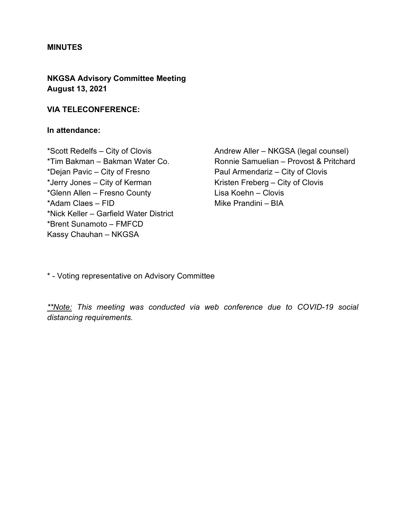#### **MINUTES**

## **NKGSA Advisory Committee Meeting August 13, 2021**

### **VIA TELECONFERENCE:**

### **In attendance:**

\*Scott Redelfs – City of Clovis \*Tim Bakman – Bakman Water Co. \*Dejan Pavic – City of Fresno \*Jerry Jones – City of Kerman \*Glenn Allen – Fresno County \*Adam Claes – FID \*Nick Keller – Garfield Water District \*Brent Sunamoto – FMFCD Kassy Chauhan – NKGSA

Andrew Aller – NKGSA (legal counsel) Ronnie Samuelian – Provost & Pritchard Paul Armendariz – City of Clovis Kristen Freberg – City of Clovis Lisa Koehn – Clovis Mike Prandini – BIA

\* - Voting representative on Advisory Committee

*\*\*Note: This meeting was conducted via web conference due to COVID-19 social distancing requirements.*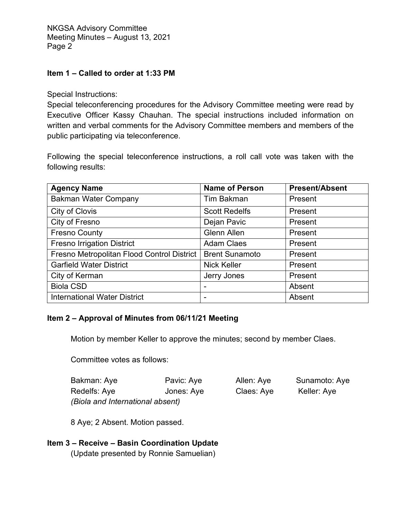### **Item 1 – Called to order at 1:33 PM**

Special Instructions:

Special teleconferencing procedures for the Advisory Committee meeting were read by Executive Officer Kassy Chauhan. The special instructions included information on written and verbal comments for the Advisory Committee members and members of the public participating via teleconference.

Following the special teleconference instructions, a roll call vote was taken with the following results:

| <b>Agency Name</b>                         | <b>Name of Person</b> | <b>Present/Absent</b> |
|--------------------------------------------|-----------------------|-----------------------|
| <b>Bakman Water Company</b>                | <b>Tim Bakman</b>     | Present               |
| City of Clovis                             | <b>Scott Redelfs</b>  | Present               |
| City of Fresno                             | Dejan Pavic           | Present               |
| <b>Fresno County</b>                       | <b>Glenn Allen</b>    | Present               |
| <b>Fresno Irrigation District</b>          | <b>Adam Claes</b>     | Present               |
| Fresno Metropolitan Flood Control District | <b>Brent Sunamoto</b> | Present               |
| <b>Garfield Water District</b>             | <b>Nick Keller</b>    | Present               |
| City of Kerman                             | Jerry Jones           | Present               |
| <b>Biola CSD</b>                           |                       | Absent                |
| <b>International Water District</b>        | -                     | Absent                |

### **Item 2 – Approval of Minutes from 06/11/21 Meeting**

Motion by member Keller to approve the minutes; second by member Claes.

Committee votes as follows:

| Bakman: Aye                      | Pavic: Aye | Allen: Aye | Sunamoto: Aye |
|----------------------------------|------------|------------|---------------|
| Redelfs: Aye                     | Jones: Aye | Claes: Aye | Keller: Aye   |
| (Biola and International absent) |            |            |               |

8 Aye; 2 Absent. Motion passed.

### **Item 3 – Receive – Basin Coordination Update**

(Update presented by Ronnie Samuelian)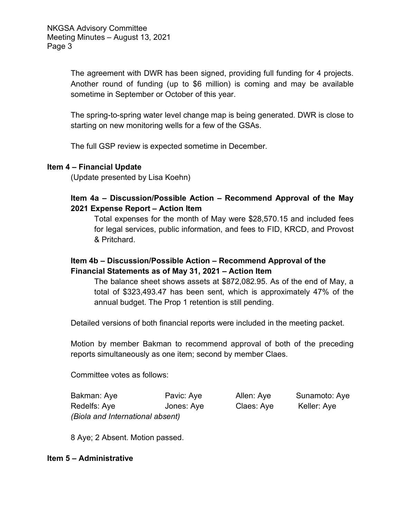The agreement with DWR has been signed, providing full funding for 4 projects. Another round of funding (up to \$6 million) is coming and may be available sometime in September or October of this year.

The spring-to-spring water level change map is being generated. DWR is close to starting on new monitoring wells for a few of the GSAs.

The full GSP review is expected sometime in December.

#### **Item 4 – Financial Update**

(Update presented by Lisa Koehn)

## **Item 4a – Discussion/Possible Action – Recommend Approval of the May 2021 Expense Report – Action Item**

Total expenses for the month of May were \$28,570.15 and included fees for legal services, public information, and fees to FID, KRCD, and Provost & Pritchard.

## **Item 4b – Discussion/Possible Action – Recommend Approval of the Financial Statements as of May 31, 2021 – Action Item**

The balance sheet shows assets at \$872,082.95. As of the end of May, a total of \$323,493.47 has been sent, which is approximately 47% of the annual budget. The Prop 1 retention is still pending.

Detailed versions of both financial reports were included in the meeting packet.

Motion by member Bakman to recommend approval of both of the preceding reports simultaneously as one item; second by member Claes.

Committee votes as follows:

| Bakman: Aye                      | Pavic: Aye | Allen: Aye | Sunamoto: Aye |
|----------------------------------|------------|------------|---------------|
| Redelfs: Aye                     | Jones: Aye | Claes: Aye | Keller: Aye   |
| (Biola and International absent) |            |            |               |

8 Aye; 2 Absent. Motion passed.

#### **Item 5 – Administrative**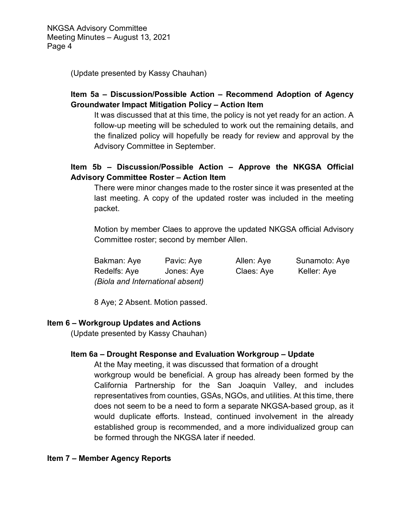(Update presented by Kassy Chauhan)

# **Item 5a – Discussion/Possible Action – Recommend Adoption of Agency Groundwater Impact Mitigation Policy – Action Item**

It was discussed that at this time, the policy is not yet ready for an action. A follow-up meeting will be scheduled to work out the remaining details, and the finalized policy will hopefully be ready for review and approval by the Advisory Committee in September.

# **Item 5b – Discussion/Possible Action – Approve the NKGSA Official Advisory Committee Roster – Action Item**

There were minor changes made to the roster since it was presented at the last meeting. A copy of the updated roster was included in the meeting packet.

Motion by member Claes to approve the updated NKGSA official Advisory Committee roster; second by member Allen.

| Bakman: Aye                      | Pavic: Aye | Allen: Aye | Sunamoto: Aye |
|----------------------------------|------------|------------|---------------|
| Redelfs: Aye                     | Jones: Aye | Claes: Aye | Keller: Aye   |
| (Biola and International absent) |            |            |               |

8 Aye; 2 Absent. Motion passed.

### **Item 6 – Workgroup Updates and Actions**

(Update presented by Kassy Chauhan)

## **Item 6a – Drought Response and Evaluation Workgroup – Update**

At the May meeting, it was discussed that formation of a drought workgroup would be beneficial. A group has already been formed by the California Partnership for the San Joaquin Valley, and includes representatives from counties, GSAs, NGOs, and utilities. At this time, there does not seem to be a need to form a separate NKGSA-based group, as it would duplicate efforts. Instead, continued involvement in the already established group is recommended, and a more individualized group can be formed through the NKGSA later if needed.

### **Item 7 – Member Agency Reports**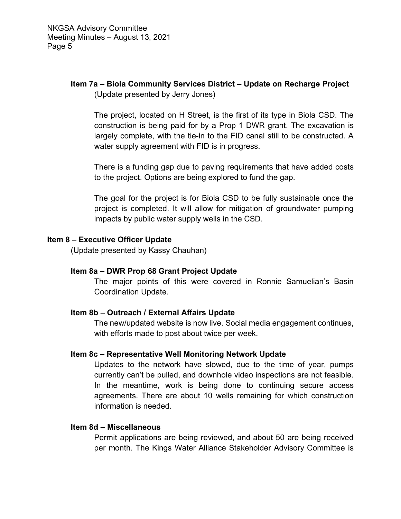## **Item 7a – Biola Community Services District – Update on Recharge Project** (Update presented by Jerry Jones)

The project, located on H Street, is the first of its type in Biola CSD. The construction is being paid for by a Prop 1 DWR grant. The excavation is largely complete, with the tie-in to the FID canal still to be constructed. A water supply agreement with FID is in progress.

There is a funding gap due to paving requirements that have added costs to the project. Options are being explored to fund the gap.

The goal for the project is for Biola CSD to be fully sustainable once the project is completed. It will allow for mitigation of groundwater pumping impacts by public water supply wells in the CSD.

#### **Item 8 – Executive Officer Update**

(Update presented by Kassy Chauhan)

### **Item 8a – DWR Prop 68 Grant Project Update**

The major points of this were covered in Ronnie Samuelian's Basin Coordination Update.

### **Item 8b – Outreach / External Affairs Update**

The new/updated website is now live. Social media engagement continues, with efforts made to post about twice per week.

### **Item 8c – Representative Well Monitoring Network Update**

Updates to the network have slowed, due to the time of year, pumps currently can't be pulled, and downhole video inspections are not feasible. In the meantime, work is being done to continuing secure access agreements. There are about 10 wells remaining for which construction information is needed.

#### **Item 8d – Miscellaneous**

Permit applications are being reviewed, and about 50 are being received per month. The Kings Water Alliance Stakeholder Advisory Committee is